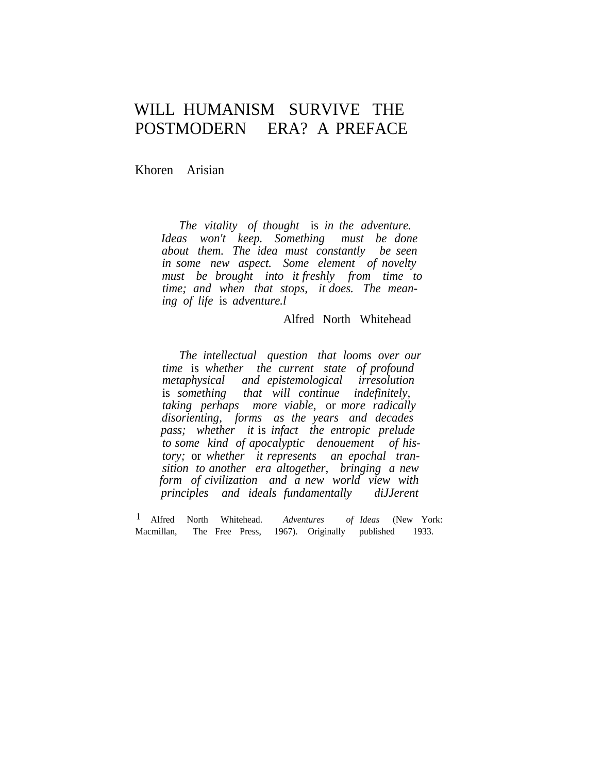## WILL HUMANISM SURVIVE THE POSTMODERN ERA? A PREFACE

Khoren Arisian

*The vitality of thought* is *in the adventure. Ideas won't keep. Something must be done about them. The idea must constantly be seen in some new aspect. Some element of novelty must be brought into it freshly from time to time; and when that stops, it does. The meaning of life* is *adventure.l*

Alfred North Whitehead

*The intellectual question that looms over our time* is *whether the current state of profound metaphysical and epistemological irresolution* is *something that will continue indefinitely, taking perhaps more viable,* or *more radically disorienting, forms as the years and decades pass; whether it* is *infact the entropic prelude to some kind of apocalyptic denouement of history;* or *whether it represents an epochal transition to another era altogether, bringing a new form of civilization and a new world view with principles and ideals fundamentally diJJerent*

1 Alfred North Whitehead. *Adventures of Ideas* (New York: Macmillan, The Free Press, 1967). Originally published 1933.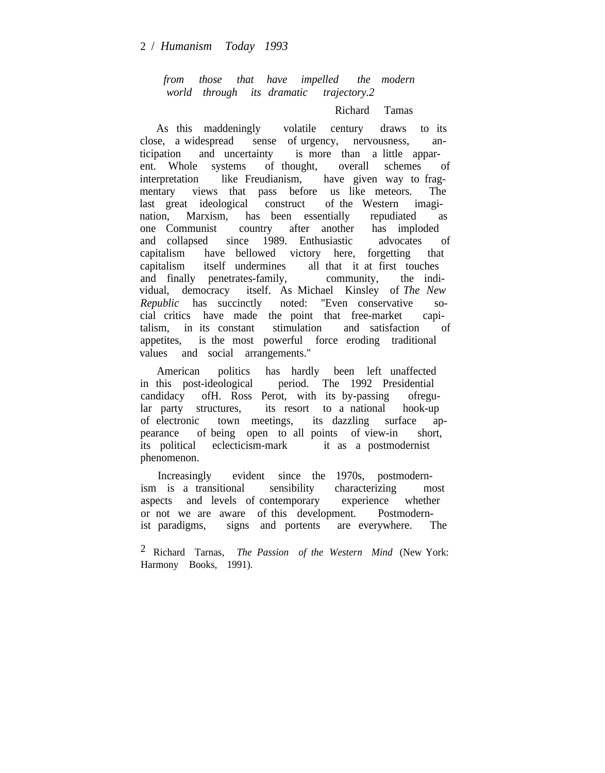*from those that have impelled the modern world through its dramatic trajectory.2*

## Richard Tamas

As this maddeningly volatile century draws to its close, a widespread sense of urgency, nervousness, anticipation and uncertainty is more than a little apparent. Whole systems of thought, overall schemes of interpretation like Freudianism, have given way to fragmentary views that pass before us like meteors. The last great ideological construct of the Western imagination, Marxism, has been essentially repudiated as one Communist country after another has imploded and collapsed since 1989. Enthusiastic advocates of capitalism have bellowed victory here, forgetting that capitalism itself undermines all that it at first touches and finally penetrates-family, community, the individual, democracy itself. As Michael Kinsley of *The New Republic* has succinctly noted: "Even conservative social critics have made the point that free-market capitalism, in its constant stimulation and satisfaction of appetites, is the most powerful force eroding traditional values and social arrangements."

American politics has hardly been left unaffected in this post-ideological period. The 1992 Presidential candidacy ofH. Ross Perot, with its by-passing ofregular party structures, its resort to a national hook-up of electronic town meetings, its dazzling surface appearance of being open to all points of view-in short, its political eclecticism-mark it as a postmodernist phenomenon.

Increasingly evident since the 1970s, postmodernism is a transitional sensibility characterizing most aspects and levels of contemporary experience whether or not we are aware of this development. Postmodernist paradigms, signs and portents are everywhere. The

2 Richard Tarnas, *The Passion of the Western Mind* (New York: Harmony Books, 1991).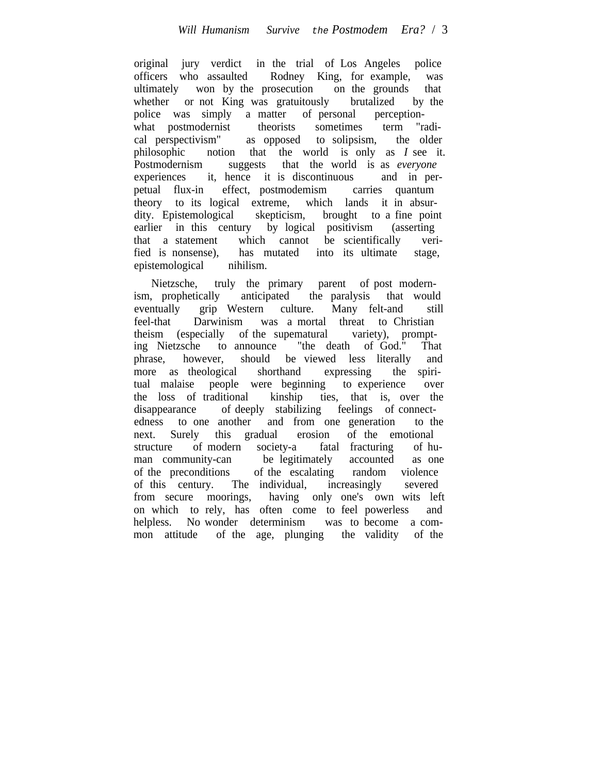original jury verdict in the trial of Los Angeles police officers who assaulted Rodney King, for example, was ultimately won by the prosecution on the grounds that whether or not King was gratuitously brutalized by the police was simply a matter of personal perceptionwhat postmodernist theorists sometimes term "radical perspectivism" as opposed to solipsism, the older philosophic notion that the world is only as *I* see it. Postmodernism suggests that the world is as *everyone* experiences it, hence it is discontinuous and in perpetual flux-in effect, postmodemism carries quantum theory to its logical extreme, which lands it in absurdity. Epistemological skepticism, brought to a fine point earlier in this century by logical positivism (asserting that a statement which cannot be scientifically verified is nonsense). has mutated into its ultimate stage. has mutated into its ultimate stage, epistemological nihilism.

Nietzsche, truly the primary parent of post modernism, prophetically anticipated the paralysis that would eventually grip Western culture. Many felt-and still feel-that Darwinism was a mortal threat to Christian theism (especially of the supematural variety), prompting Nietzsche to announce "the death of God." That ing Nietzsche to announce "the death of God." That phrase, however, should be viewed less literally and more as theological shorthand expressing the spiritual malaise people were beginning to experience over the loss of traditional kinship ties, that is, over the disappearance of deeply stabilizing feelings of connectedness to one another and from one generation to the next. Surely this gradual erosion of the emotional structure of modern society-a fatal fracturing of human community-can be legitimately accounted as one of the preconditions of the escalating random violence of this century. The individual, increasingly severed from secure moorings, having only one's own wits left on which to rely, has often come to feel powerless and helpless. No wonder determinism was to become a common attitude of the age, plunging the validity of the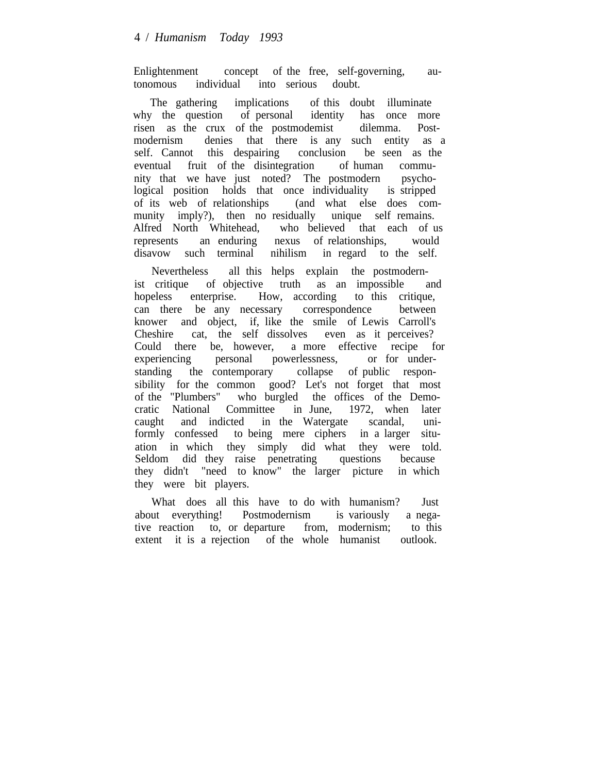Enlightenment concept of the free, self-governing, autonomous individual into serious doubt.

The gathering implications of this doubt illuminate why the question of personal identity has once more risen as the crux of the postmodemist dilemma. Postmodernism denies that there is any such entity as a self. Cannot this despairing conclusion be seen as the eventual fruit of the disintegration of human community that we have just noted? The postmodern psychological position holds that once individuality is stripped of its web of relationships (and what else does community imply?), then no residually unique self remains. Alfred North Whitehead, who believed that each of us represents an enduring nexus of relationships, would disavow such terminal nihilism in regard to the self.

Nevertheless all this helps explain the postmodernist critique of objective truth as an impossible and hopeless enterprise. How, according to this critique, can there be any necessary correspondence between knower and object, if, like the smile of Lewis Carroll's Cheshire cat, the self dissolves even as it perceives? Could there be, however, a more effective recipe for experiencing personal powerlessness, or for understanding the contemporary collapse of public responsibility for the common good? Let's not forget that most of the "Plumbers" who burgled the offices of the Democratic National Committee in June, 1972, when later caught and indicted in the Watergate scandal, uniformly confessed to being mere ciphers in a larger situation in which they simply did what they were told. Seldom did they raise penetrating questions because they didn't "need to know" the larger picture in which they were bit players.

What does all this have to do with humanism? Just about everything! Postmodernism is variously a negative reaction to, or departure from, modernism; to this extent it is a rejection of the whole humanist outlook.